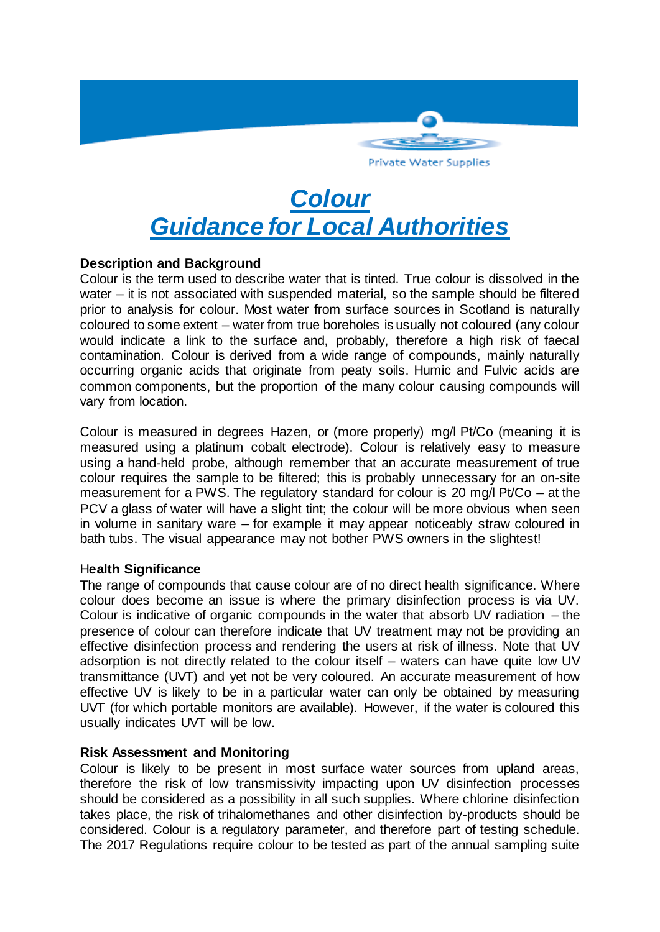

# *Colour Guidance for Local Authorities*

# **Description and Background**

Colour is the term used to describe water that is tinted. True colour is dissolved in the water – it is not associated with suspended material, so the sample should be filtered prior to analysis for colour. Most water from surface sources in Scotland is naturally coloured to some extent – water from true boreholes is usually not coloured (any colour would indicate a link to the surface and, probably, therefore a high risk of faecal contamination. Colour is derived from a wide range of compounds, mainly naturally occurring organic acids that originate from peaty soils. Humic and Fulvic acids are common components, but the proportion of the many colour causing compounds will vary from location.

Colour is measured in degrees Hazen, or (more properly) mg/l Pt/Co (meaning it is measured using a platinum cobalt electrode). Colour is relatively easy to measure using a hand-held probe, although remember that an accurate measurement of true colour requires the sample to be filtered; this is probably unnecessary for an on-site measurement for a PWS. The regulatory standard for colour is 20 mg/l Pt/Co – at the PCV a glass of water will have a slight tint; the colour will be more obvious when seen in volume in sanitary ware – for example it may appear noticeably straw coloured in bath tubs. The visual appearance may not bother PWS owners in the slightest!

# H**ealth Significance**

The range of compounds that cause colour are of no direct health significance. Where colour does become an issue is where the primary disinfection process is via UV. Colour is indicative of organic compounds in the water that absorb UV radiation – the presence of colour can therefore indicate that UV treatment may not be providing an effective disinfection process and rendering the users at risk of illness. Note that UV adsorption is not directly related to the colour itself – waters can have quite low UV transmittance (UVT) and yet not be very coloured. An accurate measurement of how effective UV is likely to be in a particular water can only be obtained by measuring UVT (for which portable monitors are available). However, if the water is coloured this usually indicates UVT will be low.

# **Risk Assessment and Monitoring**

Colour is likely to be present in most surface water sources from upland areas, therefore the risk of low transmissivity impacting upon UV disinfection processes should be considered as a possibility in all such supplies. Where chlorine disinfection takes place, the risk of trihalomethanes and other disinfection by-products should be considered. Colour is a regulatory parameter, and therefore part of testing schedule. The 2017 Regulations require colour to be tested as part of the annual sampling suite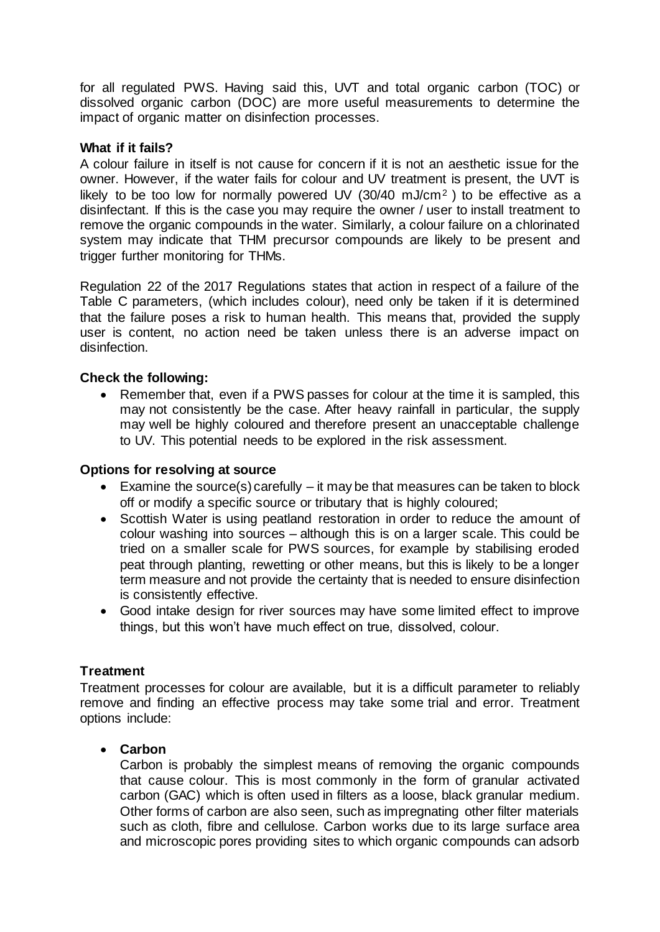for all regulated PWS. Having said this, UVT and total organic carbon (TOC) or dissolved organic carbon (DOC) are more useful measurements to determine the impact of organic matter on disinfection processes.

## **What if it fails?**

A colour failure in itself is not cause for concern if it is not an aesthetic issue for the owner. However, if the water fails for colour and UV treatment is present, the UVT is likely to be too low for normally powered UV (30/40 mJ/cm<sup>2</sup>) to be effective as a disinfectant. If this is the case you may require the owner / user to install treatment to remove the organic compounds in the water. Similarly, a colour failure on a chlorinated system may indicate that THM precursor compounds are likely to be present and trigger further monitoring for THMs.

Regulation 22 of the 2017 Regulations states that action in respect of a failure of the Table C parameters, (which includes colour), need only be taken if it is determined that the failure poses a risk to human health. This means that, provided the supply user is content, no action need be taken unless there is an adverse impact on disinfection.

## **Check the following:**

• Remember that, even if a PWS passes for colour at the time it is sampled, this may not consistently be the case. After heavy rainfall in particular, the supply may well be highly coloured and therefore present an unacceptable challenge to UV. This potential needs to be explored in the risk assessment.

### **Options for resolving at source**

- Examine the source(s) carefully it may be that measures can be taken to block off or modify a specific source or tributary that is highly coloured;
- Scottish Water is using peatland restoration in order to reduce the amount of colour washing into sources – although this is on a larger scale. This could be tried on a smaller scale for PWS sources, for example by stabilising eroded peat through planting, rewetting or other means, but this is likely to be a longer term measure and not provide the certainty that is needed to ensure disinfection is consistently effective.
- Good intake design for river sources may have some limited effect to improve things, but this won't have much effect on true, dissolved, colour.

# **Treatment**

Treatment processes for colour are available, but it is a difficult parameter to reliably remove and finding an effective process may take some trial and error. Treatment options include:

#### **Carbon**

Carbon is probably the simplest means of removing the organic compounds that cause colour. This is most commonly in the form of granular activated carbon (GAC) which is often used in filters as a loose, black granular medium. Other forms of carbon are also seen, such as impregnating other filter materials such as cloth, fibre and cellulose. Carbon works due to its large surface area and microscopic pores providing sites to which organic compounds can adsorb